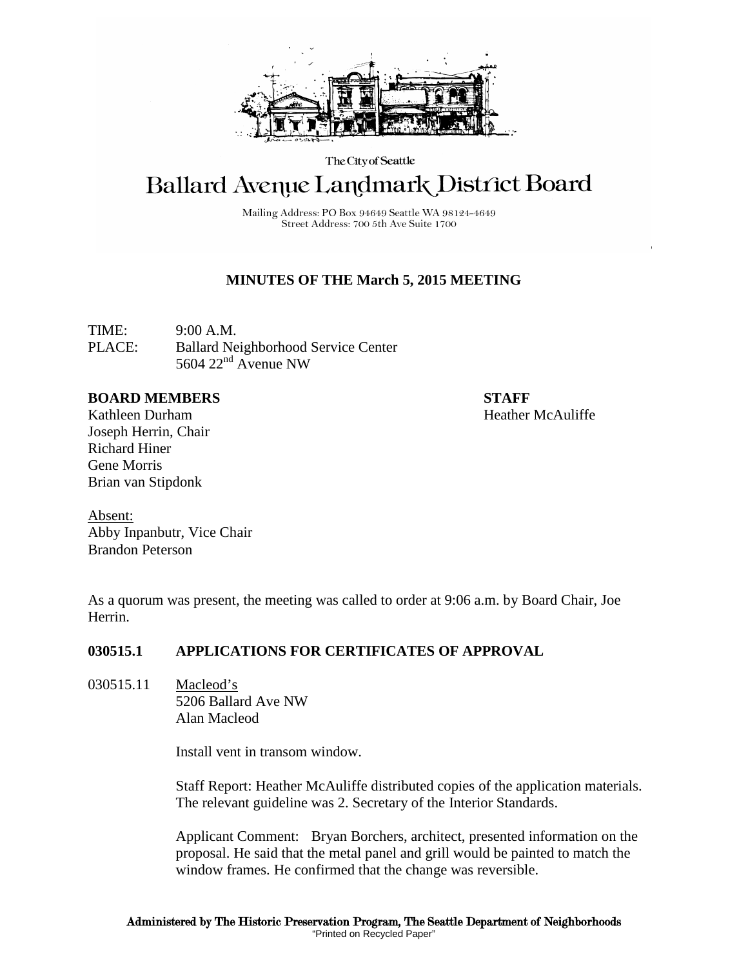

The City of Seattle

# **Ballard Avenue Landmark District Board**

Mailing Address: PO Box 94649 Seattle WA 98124-4649 Street Address: 700 5th Ave Suite 1700

## **MINUTES OF THE March 5, 2015 MEETING**

TIME: 9:00 A.M. PLACE: Ballard Neighborhood Service Center 5604  $22<sup>nd</sup>$  Avenue NW

### **BOARD MEMBERS STAFF**

Kathleen Durham **Heather McAuliffe** Joseph Herrin, Chair Richard Hiner Gene Morris Brian van Stipdonk

Absent: Abby Inpanbutr, Vice Chair Brandon Peterson

As a quorum was present, the meeting was called to order at 9:06 a.m. by Board Chair, Joe Herrin.

## **030515.1 APPLICATIONS FOR CERTIFICATES OF APPROVAL**

030515.11 Macleod's 5206 Ballard Ave NW Alan Macleod

Install vent in transom window.

Staff Report: Heather McAuliffe distributed copies of the application materials. The relevant guideline was 2. Secretary of the Interior Standards.

Applicant Comment: Bryan Borchers, architect, presented information on the proposal. He said that the metal panel and grill would be painted to match the window frames. He confirmed that the change was reversible.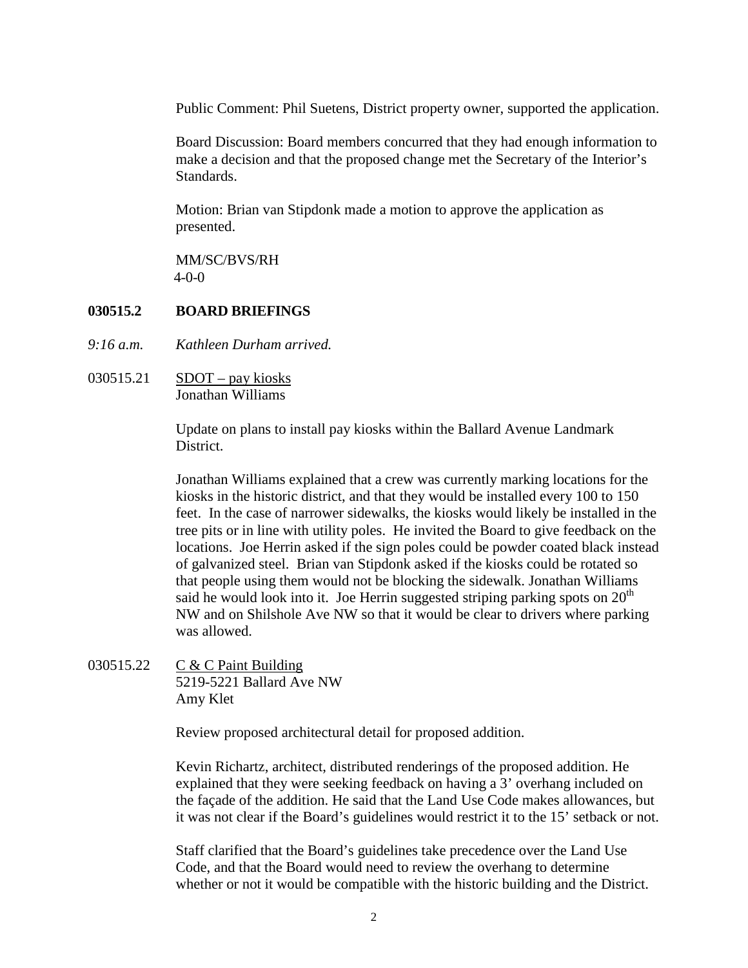Public Comment: Phil Suetens, District property owner, supported the application.

Board Discussion: Board members concurred that they had enough information to make a decision and that the proposed change met the Secretary of the Interior's Standards.

Motion: Brian van Stipdonk made a motion to approve the application as presented.

MM/SC/BVS/RH 4-0-0

### **030515.2 BOARD BRIEFINGS**

- *9:16 a.m. Kathleen Durham arrived.*
- 030515.21 SDOT pay kiosks Jonathan Williams

Update on plans to install pay kiosks within the Ballard Avenue Landmark District.

Jonathan Williams explained that a crew was currently marking locations for the kiosks in the historic district, and that they would be installed every 100 to 150 feet. In the case of narrower sidewalks, the kiosks would likely be installed in the tree pits or in line with utility poles. He invited the Board to give feedback on the locations. Joe Herrin asked if the sign poles could be powder coated black instead of galvanized steel. Brian van Stipdonk asked if the kiosks could be rotated so that people using them would not be blocking the sidewalk. Jonathan Williams said he would look into it. Joe Herrin suggested striping parking spots on  $20<sup>th</sup>$ NW and on Shilshole Ave NW so that it would be clear to drivers where parking was allowed.

030515.22 C & C Paint Building 5219-5221 Ballard Ave NW Amy Klet

Review proposed architectural detail for proposed addition.

Kevin Richartz, architect, distributed renderings of the proposed addition. He explained that they were seeking feedback on having a 3' overhang included on the façade of the addition. He said that the Land Use Code makes allowances, but it was not clear if the Board's guidelines would restrict it to the 15' setback or not.

Staff clarified that the Board's guidelines take precedence over the Land Use Code, and that the Board would need to review the overhang to determine whether or not it would be compatible with the historic building and the District.